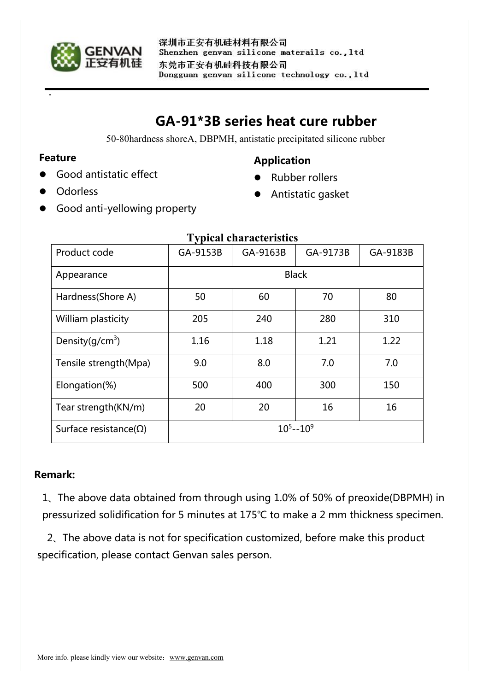

# **GA-91\*3B series heat cure rubber**

50-80hardness shoreA, DBPMH, antistatic precipitated silicone rubber

#### **Feature**

Good antistatic effect

#### **Odorless**

### **Application**

- Rubber rollers
- Antistatic gasket
- Good anti-yellowing property

| T VIJICAL CHAI ACIUI ISUCS     |               |          |          |          |
|--------------------------------|---------------|----------|----------|----------|
| Product code                   | GA-9153B      | GA-9163B | GA-9173B | GA-9183B |
| Appearance                     | <b>Black</b>  |          |          |          |
| Hardness(Shore A)              | 50            | 60       | 70       | 80       |
| William plasticity             | 205           | 240      | 280      | 310      |
| Density( $q/cm3$ )             | 1.16          | 1.18     | 1.21     | 1.22     |
| Tensile strength(Mpa)          | 9.0           | 8.0      | 7.0      | 7.0      |
| Elongation(%)                  | 500           | 400      | 300      | 150      |
| Tear strength(KN/m)            | 20            | 20       | 16       | 16       |
| Surface resistance( $\Omega$ ) | $10^5 - 10^9$ |          |          |          |

# **Typical characteristics**

# **Remark:**

1、The above data obtained from through using 1.0% of 50% of preoxide(DBPMH) in pressurized solidification for 5 minutes at 175℃ to make a 2 mm thickness specimen.

2、The above data is not for specification customized, before make this product specification, please contact Genvan sales person.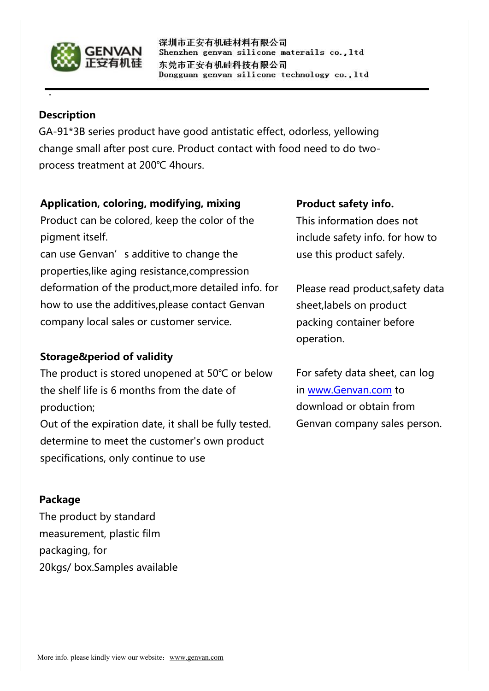

深圳市正安有机硅材料有限公司 Shenzhen genvan silicone materails co., ltd 东莞市正安有机硅科技有限公司 Dongguan genvan silicone technology co., ltd

#### **Description**

GA-91\*3B series product have good antistatic effect, odorless, yellowing change small after post cure. Product contact with food need to do twoprocess treatment at 200℃ 4hours.

# **Application, coloring, modifying, mixing**

Product can be colored, keep the color of the pigment itself.

can use Genvan's additive to change the properties,like aging resistance,compression deformation of the product,more detailed info. for how to use the additives,please contact Genvan company local sales or customer service.

# **Storage&period of validity**

The product is stored unopened at 50℃ or below the shelf life is 6 months from the date of production; Out of the expiration date, it shall be fully tested. determine to meet the customer's own product specifications, only continue to use

#### **Package**

The product by standard measurement, plastic film packaging, for 20kgs/ box.Samples available

#### **Product safety info.**

This information does not include safety info. for how to use this product safely.

Please read product,safety data sheet,labels on product packing container before operation.

For safety data sheet, can log in [www.Genvan.com](http://www.genvan.com) to download or obtain from Genvan company sales person.